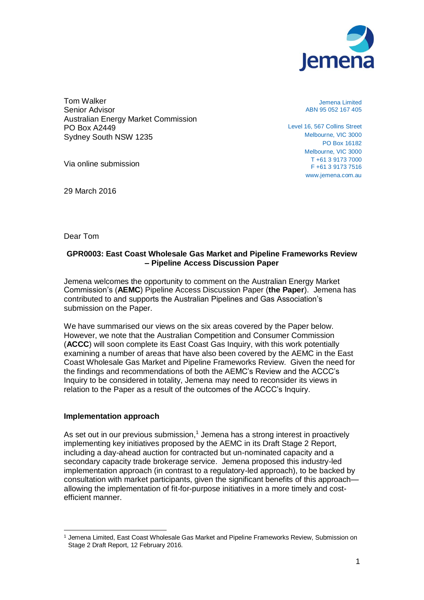

Tom Walker Senior Advisor Australian Energy Market Commission PO Box A2449 Sydney South NSW 1235

Via online submission

29 March 2016

Jemena Limited ABN 95 052 167 405

Level 16, 567 Collins Street Melbourne, VIC 3000 PO Box 16182 Melbourne, VIC 3000 T +61 3 9173 7000 F +61 3 9173 7516 www.jemena.com.au

Dear Tom

## **GPR0003: East Coast Wholesale Gas Market and Pipeline Frameworks Review – Pipeline Access Discussion Paper**

Jemena welcomes the opportunity to comment on the Australian Energy Market Commission's (**AEMC**) Pipeline Access Discussion Paper (**the Paper**). Jemena has contributed to and supports the Australian Pipelines and Gas Association's submission on the Paper.

We have summarised our views on the six areas covered by the Paper below. However, we note that the Australian Competition and Consumer Commission (**ACCC**) will soon complete its East Coast Gas Inquiry, with this work potentially examining a number of areas that have also been covered by the AEMC in the East Coast Wholesale Gas Market and Pipeline Frameworks Review. Given the need for the findings and recommendations of both the AEMC's Review and the ACCC's Inquiry to be considered in totality, Jemena may need to reconsider its views in relation to the Paper as a result of the outcomes of the ACCC's Inquiry.

### **Implementation approach**

As set out in our previous submission, $1$  Jemena has a strong interest in proactively implementing key initiatives proposed by the AEMC in its Draft Stage 2 Report, including a day-ahead auction for contracted but un-nominated capacity and a secondary capacity trade brokerage service. Jemena proposed this industry-led implementation approach (in contrast to a regulatory-led approach), to be backed by consultation with market participants, given the significant benefits of this approach allowing the implementation of fit-for-purpose initiatives in a more timely and costefficient manner.

<sup>1</sup> Jemena Limited, East Coast Wholesale Gas Market and Pipeline Frameworks Review, Submission on Stage 2 Draft Report, 12 February 2016.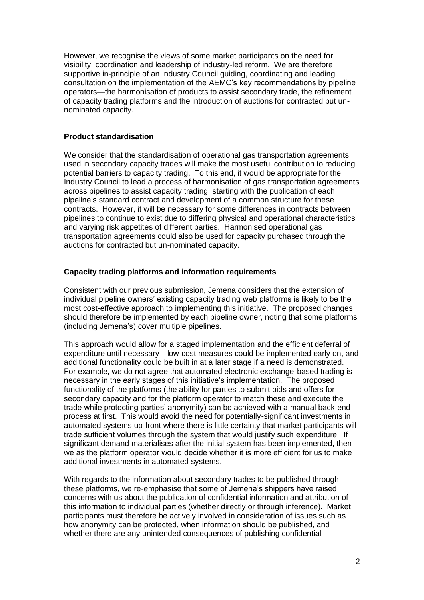However, we recognise the views of some market participants on the need for visibility, coordination and leadership of industry-led reform. We are therefore supportive in-principle of an Industry Council guiding, coordinating and leading consultation on the implementation of the AEMC's key recommendations by pipeline operators—the harmonisation of products to assist secondary trade, the refinement of capacity trading platforms and the introduction of auctions for contracted but unnominated capacity.

# **Product standardisation**

We consider that the standardisation of operational gas transportation agreements used in secondary capacity trades will make the most useful contribution to reducing potential barriers to capacity trading. To this end, it would be appropriate for the Industry Council to lead a process of harmonisation of gas transportation agreements across pipelines to assist capacity trading, starting with the publication of each pipeline's standard contract and development of a common structure for these contracts. However, it will be necessary for some differences in contracts between pipelines to continue to exist due to differing physical and operational characteristics and varying risk appetites of different parties. Harmonised operational gas transportation agreements could also be used for capacity purchased through the auctions for contracted but un-nominated capacity.

# **Capacity trading platforms and information requirements**

Consistent with our previous submission, Jemena considers that the extension of individual pipeline owners' existing capacity trading web platforms is likely to be the most cost-effective approach to implementing this initiative. The proposed changes should therefore be implemented by each pipeline owner, noting that some platforms (including Jemena's) cover multiple pipelines.

This approach would allow for a staged implementation and the efficient deferral of expenditure until necessary—low-cost measures could be implemented early on, and additional functionality could be built in at a later stage if a need is demonstrated. For example, we do not agree that automated electronic exchange-based trading is necessary in the early stages of this initiative's implementation. The proposed functionality of the platforms (the ability for parties to submit bids and offers for secondary capacity and for the platform operator to match these and execute the trade while protecting parties' anonymity) can be achieved with a manual back-end process at first. This would avoid the need for potentially-significant investments in automated systems up-front where there is little certainty that market participants will trade sufficient volumes through the system that would justify such expenditure. If significant demand materialises after the initial system has been implemented, then we as the platform operator would decide whether it is more efficient for us to make additional investments in automated systems.

With regards to the information about secondary trades to be published through these platforms, we re-emphasise that some of Jemena's shippers have raised concerns with us about the publication of confidential information and attribution of this information to individual parties (whether directly or through inference). Market participants must therefore be actively involved in consideration of issues such as how anonymity can be protected, when information should be published, and whether there are any unintended consequences of publishing confidential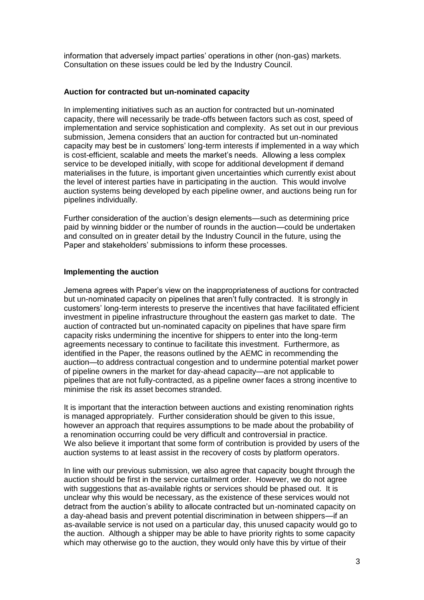information that adversely impact parties' operations in other (non-gas) markets. Consultation on these issues could be led by the Industry Council.

## **Auction for contracted but un-nominated capacity**

In implementing initiatives such as an auction for contracted but un-nominated capacity, there will necessarily be trade-offs between factors such as cost, speed of implementation and service sophistication and complexity. As set out in our previous submission, Jemena considers that an auction for contracted but un-nominated capacity may best be in customers' long-term interests if implemented in a way which is cost-efficient, scalable and meets the market's needs. Allowing a less complex service to be developed initially, with scope for additional development if demand materialises in the future, is important given uncertainties which currently exist about the level of interest parties have in participating in the auction. This would involve auction systems being developed by each pipeline owner, and auctions being run for pipelines individually.

Further consideration of the auction's design elements—such as determining price paid by winning bidder or the number of rounds in the auction—could be undertaken and consulted on in greater detail by the Industry Council in the future, using the Paper and stakeholders' submissions to inform these processes.

# **Implementing the auction**

Jemena agrees with Paper's view on the inappropriateness of auctions for contracted but un-nominated capacity on pipelines that aren't fully contracted. It is strongly in customers' long-term interests to preserve the incentives that have facilitated efficient investment in pipeline infrastructure throughout the eastern gas market to date. The auction of contracted but un-nominated capacity on pipelines that have spare firm capacity risks undermining the incentive for shippers to enter into the long-term agreements necessary to continue to facilitate this investment. Furthermore, as identified in the Paper, the reasons outlined by the AEMC in recommending the auction—to address contractual congestion and to undermine potential market power of pipeline owners in the market for day-ahead capacity—are not applicable to pipelines that are not fully-contracted, as a pipeline owner faces a strong incentive to minimise the risk its asset becomes stranded.

It is important that the interaction between auctions and existing renomination rights is managed appropriately. Further consideration should be given to this issue. however an approach that requires assumptions to be made about the probability of a renomination occurring could be very difficult and controversial in practice. We also believe it important that some form of contribution is provided by users of the auction systems to at least assist in the recovery of costs by platform operators.

In line with our previous submission, we also agree that capacity bought through the auction should be first in the service curtailment order. However, we do not agree with suggestions that as-available rights or services should be phased out. It is unclear why this would be necessary, as the existence of these services would not detract from the auction's ability to allocate contracted but un-nominated capacity on a day-ahead basis and prevent potential discrimination in between shippers—if an as-available service is not used on a particular day, this unused capacity would go to the auction. Although a shipper may be able to have priority rights to some capacity which may otherwise go to the auction, they would only have this by virtue of their